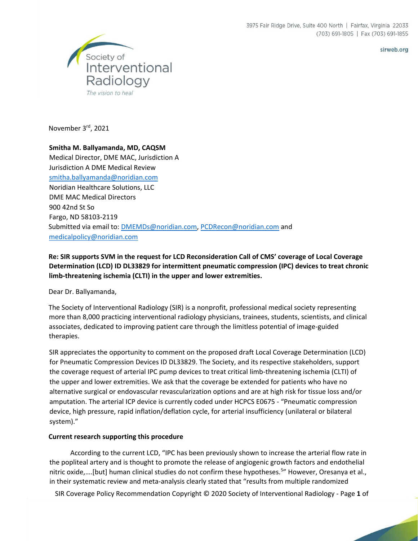sirweb.org



November 3rd, 2021

#### **Smitha M. Ballyamanda, MD, CAQSM**

Medical Director, DME MAC, Jurisdiction A Jurisdiction A DME Medical Review [smitha.ballyamanda@noridian.com](mailto:smitha.ballyamanda@noridian.com) Noridian Healthcare Solutions, LLC DME MAC Medical Directors 900 42nd St So Fargo, ND 58103-2119 Submitted via email to: [DMEMDs@noridian.com,](mailto:DMEMDs@noridian.com) [PCDRecon@noridian.com](mailto:PCDRecon@noridian.com) and [medicalpolicy@noridian.com](mailto:medicalpolicy@noridian.com)

#### **Re: SIR supports SVM in the request for LCD Reconsideration Call of CMS' coverage of Local Coverage Determination (LCD) ID DL33829 for intermittent pneumatic compression (IPC) devices to treat chronic limb-threatening ischemia (CLTI) in the upper and lower extremities.**

Dear Dr. Ballyamanda,

The Society of Interventional Radiology (SIR) is a nonprofit, professional medical society representing more than 8,000 practicing interventional radiology physicians, trainees, students, scientists, and clinical associates, dedicated to improving patient care through the limitless potential of image-guided therapies.

SIR appreciates the opportunity to comment on the proposed draft Local Coverage Determination (LCD) for Pneumatic Compression Devices ID DL33829. The Society, and its respective stakeholders, support the coverage request of arterial IPC pump devices to treat critical limb-threatening ischemia (CLTI) of the upper and lower extremities. We ask that the coverage be extended for patients who have no alternative surgical or endovascular revascularization options and are at high risk for tissue loss and/or amputation. The arterial ICP device is currently coded under HCPCS E0675 - "Pneumatic compression device, high pressure, rapid inflation/deflation cycle, for arterial insufficiency (unilateral or bilateral system)."

#### **Current research supporting this procedure**

According to the current LCD, "IPC has been previously shown to increase the arterial flow rate in the popliteal artery and is thought to promote the release of angiogenic growth factors and endothelial nitric oxide,....[but] human clinical studies do not confirm these hypotheses.<sup>5</sup>" However, Oresanya et al., in their systematic review and meta-analysis clearly stated that "results from multiple randomized

SIR Coverage Policy Recommendation Copyright © 2020 Society of Interventional Radiology - Page **1** of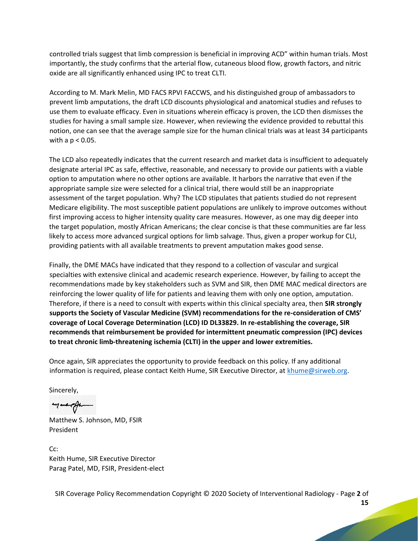controlled trials suggest that limb compression is beneficial in improving ACD" within human trials. Most importantly, the study confirms that the arterial flow, cutaneous blood flow, growth factors, and nitric oxide are all significantly enhanced using IPC to treat CLTI.

According to M. Mark Melin, MD FACS RPVI FACCWS, and his distinguished group of ambassadors to prevent limb amputations, the draft LCD discounts physiological and anatomical studies and refuses to use them to evaluate efficacy. Even in situations wherein efficacy is proven, the LCD then dismisses the studies for having a small sample size. However, when reviewing the evidence provided to rebuttal this notion, one can see that the average sample size for the human clinical trials was at least 34 participants with a  $p < 0.05$ .

The LCD also repeatedly indicates that the current research and market data is insufficient to adequately designate arterial IPC as safe, effective, reasonable, and necessary to provide our patients with a viable option to amputation where no other options are available. It harbors the narrative that even if the appropriate sample size were selected for a clinical trial, there would still be an inappropriate assessment of the target population. Why? The LCD stipulates that patients studied do not represent Medicare eligibility. The most susceptible patient populations are unlikely to improve outcomes without first improving access to higher intensity quality care measures. However, as one may dig deeper into the target population, mostly African Americans; the clear concise is that these communities are far less likely to access more advanced surgical options for limb salvage. Thus, given a proper workup for CLI, providing patients with all available treatments to prevent amputation makes good sense.

Finally, the DME MACs have indicated that they respond to a collection of vascular and surgical specialties with extensive clinical and academic research experience. However, by failing to accept the recommendations made by key stakeholders such as SVM and SIR, then DME MAC medical directors are reinforcing the lower quality of life for patients and leaving them with only one option, amputation. Therefore, if there is a need to consult with experts within this clinical specialty area, then **SIR strongly supports the Society of Vascular Medicine (SVM) recommendations for the re-consideration of CMS' coverage of Local Coverage Determination (LCD) ID DL33829. In re-establishing the coverage, SIR recommends that reimbursement be provided for intermittent pneumatic compression (IPC) devices to treat chronic limb-threatening ischemia (CLTI) in the upper and lower extremities.**

Once again, SIR appreciates the opportunity to provide feedback on this policy. If any additional information is required, please contact Keith Hume, SIR Executive Director, at [khume@sirweb.org.](mailto:khume@sirweb.org)

Sincerely,

Matthew S. Johnson, MD, FSIR President

Cc: Keith Hume, SIR Executive Director Parag Patel, MD, FSIR, President-elect

SIR Coverage Policy Recommendation Copyright © 2020 Society of Interventional Radiology - Page **2** of

**15**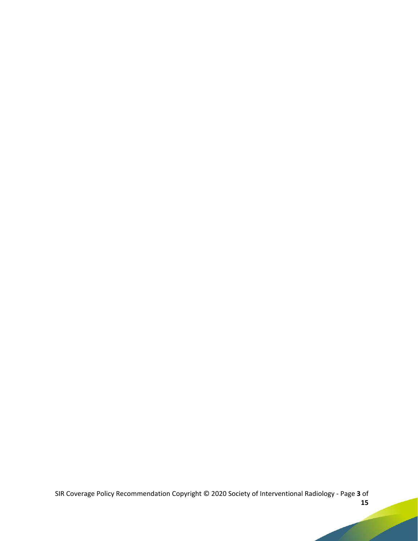SIR Coverage Policy Recommendation Copyright © 2020 Society of Interventional Radiology - Page **3** of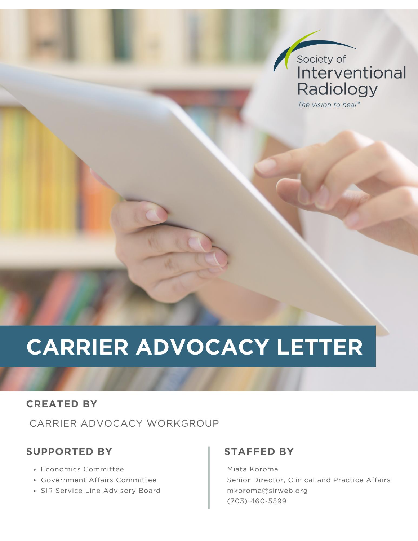Society of Interventional Radiology

The vision to heal®

# **CARRIER ADVOCACY LETTER**

### **CREATED BY**

CARRIER ADVOCACY WORKGROUP

# **SUPPORTED BY**

- · Economics Committee
- · Government Affairs Committee
- · SIR Service Line Advisory Board

## **STAFFED BY**

Miata Koroma Senior Director, Clinical and Practice Affairs mkoroma@sirweb.org SIR Coverage Policy Recommendation Copyright © 2020 Society of Interventional Radiology - Page **4** of **15**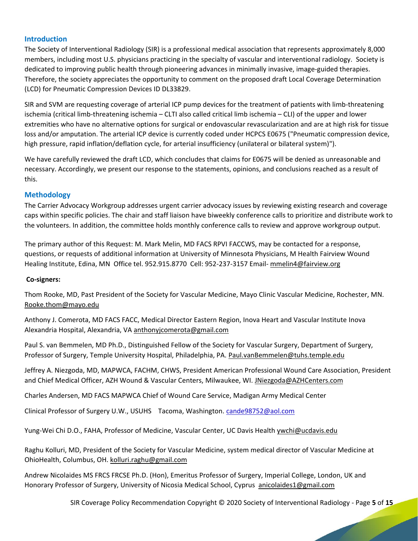#### **Introduction**

The Society of Interventional Radiology (SIR) is a professional medical association that represents approximately 8,000 members, including most U.S. physicians practicing in the specialty of vascular and interventional radiology. Society is dedicated to improving public health through pioneering advances in minimally invasive, image-guided therapies. Therefore, the society appreciates the opportunity to comment on the proposed draft Local Coverage Determination (LCD) for Pneumatic Compression Devices ID DL33829.

SIR and SVM are requesting coverage of arterial ICP pump devices for the treatment of patients with limb-threatening ischemia (critical limb-threatening ischemia – CLTI also called critical limb ischemia – CLI) of the upper and lower extremities who have no alternative options for surgical or endovascular revascularization and are at high risk for tissue loss and/or amputation. The arterial ICP device is currently coded under HCPCS E0675 ("Pneumatic compression device, high pressure, rapid inflation/deflation cycle, for arterial insufficiency (unilateral or bilateral system)").

We have carefully reviewed the draft LCD, which concludes that claims for E0675 will be denied as unreasonable and necessary. Accordingly, we present our response to the statements, opinions, and conclusions reached as a result of this.

#### **Methodology**

The Carrier Advocacy Workgroup addresses urgent carrier advocacy issues by reviewing existing research and coverage caps within specific policies. The chair and staff liaison have biweekly conference calls to prioritize and distribute work to the volunteers. In addition, the committee holds monthly conference calls to review and approve workgroup output.

The primary author of this Request: M. Mark Melin, MD FACS RPVI FACCWS, may be contacted for a response, questions, or requests of additional information at University of Minnesota Physicians, M Health Fairview Wound Healing Institute, Edina, MN Office tel. 952.915.8770 Cell: 952-237-3157 Email- [mmelin4@fairview.org](mailto:mmelin4@fairview.org)

#### **Co-signers:**

Thom Rooke, MD, Past President of the Society for Vascular Medicine, Mayo Clinic Vascular Medicine, Rochester, MN. [Rooke.thom@mayo.edu](mailto:Rooke.thom@mayo.edu)

Anthony J. Comerota, MD FACS FACC, Medical Director Eastern Region, Inova Heart and Vascular Institute Inova Alexandria Hospital, Alexandria, VA [anthonyjcomerota@gmail.com](mailto:anthonyjcomerota@gmail.com)

Paul S. van Bemmelen, MD Ph.D., Distinguished Fellow of the Society for Vascular Surgery, Department of Surgery, Professor of Surgery, Temple University Hospital, Philadelphia, PA. [Paul.vanBemmelen@tuhs.temple.edu](mailto:Paul.vanBemmelen@tuhs.temple.edu)

Jeffrey A. Niezgoda, MD, MAPWCA, FACHM, CHWS, President American Professional Wound Care Association, President and Chief Medical Officer, AZH Wound & Vascular Centers, Milwaukee, WI. [JNiezgoda@AZHCenters.com](mailto:JNiezgoda@AZHCenters.com)

Charles Andersen, MD FACS MAPWCA Chief of Wound Care Service, Madigan Army Medical Center

Clinical Professor of Surgery U.W., USUHS Tacoma, Washington. cande98752@aol.com

Yung-Wei Chi D.O., FAHA, Professor of Medicine, Vascular Center, UC Davis Health [ywchi@ucdavis.edu](mailto:ywchi@ucdavis.edu)

Raghu Kolluri, MD, President of the Society for Vascular Medicine, system medical director of Vascular Medicine at OhioHealth, Columbus, OH. [kolluri.raghu@gmail.com](mailto:kolluri.raghu@gmail.com)

Andrew Nicolaides MS FRCS FRCSE Ph.D. (Hon), Emeritus Professor of Surgery, Imperial College, London, UK and Honorary Professor of Surgery, University of Nicosia Medical School, Cyprus [anicolaides1@gmail.com](mailto:anicolaides1@gmail.com)

SIR Coverage Policy Recommendation Copyright © 2020 Society of Interventional Radiology - Page **5** of **15**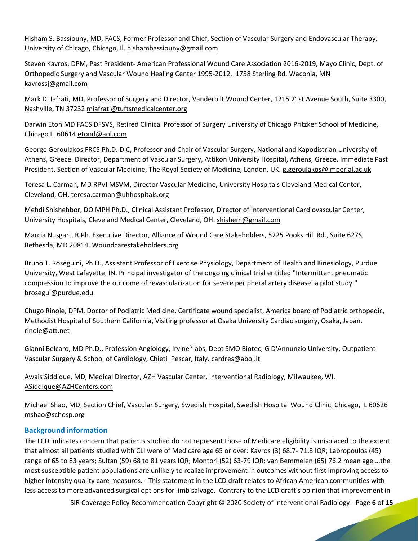Hisham S. Bassiouny, MD, FACS, Former Professor and Chief, Section of Vascular Surgery and Endovascular Therapy, University of Chicago, Chicago, Il. [hishambassiouny@gmail.com](mailto:hishambassiouny@gmail.com)

Steven Kavros, DPM, Past President- American Professional Wound Care Association 2016-2019, Mayo Clinic, Dept. of Orthopedic Surgery and Vascular Wound Healing Center 1995-2012, 1758 Sterling Rd. Waconia, MN [kavrossj@gmail.com](mailto:kavrossj@gmail.com)

Mark D. Iafrati, MD, Professor of Surgery and Director, Vanderbilt Wound Center, 1215 21st Avenue South, Suite 3300, Nashville, TN 37232 [miafrati@tuftsmedicalcenter.org](mailto:miafrati@tuftsmedicalcenter.org)

Darwin Eton MD FACS DFSVS, Retired Clinical Professor of Surgery University of Chicago Pritzker School of Medicine, Chicago IL 60614 [etond@aol.com](mailto:etond@aol.com)

George Geroulakos FRCS Ph.D. DIC, Professor and Chair of Vascular Surgery, National and Kapodistrian University of Athens, Greece. Director, Department of Vascular Surgery, Attikon University Hospital, Athens, Greece. Immediate Past President, Section of Vascular Medicine, The Royal Society of Medicine, London, UK. [g.geroulakos@imperial.ac.uk](mailto:g.geroulakos@imperial.ac.uk)

Teresa L. Carman, MD RPVI MSVM, Director Vascular Medicine, University Hospitals Cleveland Medical Center, Cleveland, OH. [teresa.carman@uhhospitals.org](mailto:teresa.carman@uhhospitals.org)

Mehdi Shishehbor, DO MPH Ph.D., Clinical Assistant Professor, Director of Interventional Cardiovascular Center, University Hospitals, Cleveland Medical Center, Cleveland, OH. [shishem@gmail.com](mailto:shishem@gmail.com)

Marcia Nusgart, R.Ph. Executive Director, Alliance of Wound Care Stakeholders, 5225 Pooks Hill Rd., Suite 627S, Bethesda, MD 20814. Woundcarestakeholders.org

Bruno T. Roseguini, Ph.D., Assistant Professor of Exercise Physiology, Department of Health and Kinesiology, Purdue University, West Lafayette, IN. Principal investigator of the ongoing clinical trial entitled "Intermittent pneumatic compression to improve the outcome of revascularization for severe peripheral artery disease: a pilot study." [brosegui@purdue.edu](mailto:brosegui@purdue.edu)

Chugo Rinoie, DPM, Doctor of Podiatric Medicine, Certificate wound specialist, America board of Podiatric orthopedic, Methodist Hospital of Southern California, Visiting professor at Osaka University Cardiac surgery, Osaka, Japan. [rinoie@att.net](mailto:rinoie@att.net)

Gianni Belcaro, MD Ph.D., Profession Angiology, Irvine<sup>3</sup> labs, Dept SMO Biotec, G D'Annunzio University, Outpatient Vascular Surgery & School of Cardiology, Chieti\_Pescar, Italy. [cardres@abol.it](mailto:cardres@abol.it)

Awais Siddique, MD, Medical Director, AZH Vascular Center, Interventional Radiology, Milwaukee, WI. [ASiddique@AZHCenters.com](mailto:ASiddique@AZHCenters.com)

Michael Shao, MD, Section Chief, Vascular Surgery, Swedish Hospital, Swedish Hospital Wound Clinic, Chicago, IL 60626 [mshao@schosp.org](mailto:mshao@schosp.org)

#### **Background information**

The LCD indicates concern that patients studied do not represent those of Medicare eligibility is misplaced to the extent that almost all patients studied with CLI were of Medicare age 65 or over: Kavros (3) 68.7- 71.3 IQR; Labropoulos (45) range of 65 to 83 years; Sultan (59) 68 to 81 years IQR; Montori (52) 63-79 IQR; van Bemmelen (65) 76.2 mean age.…the most susceptible patient populations are unlikely to realize improvement in outcomes without first improving access to higher intensity quality care measures. - This statement in the LCD draft relates to African American communities with less access to more advanced surgical options for limb salvage. Contrary to the LCD draft's opinion that improvement in

SIR Coverage Policy Recommendation Copyright © 2020 Society of Interventional Radiology - Page **6** of **15**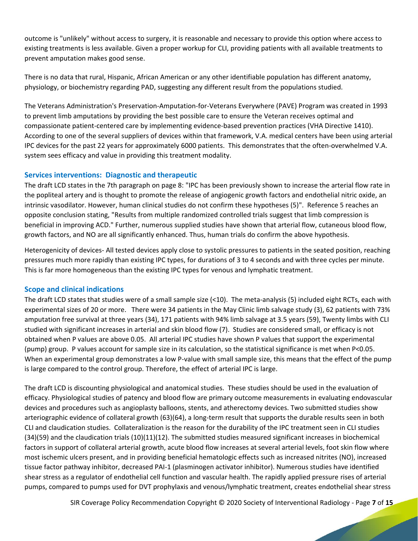outcome is "unlikely" without access to surgery, it is reasonable and necessary to provide this option where access to existing treatments is less available. Given a proper workup for CLI, providing patients with all available treatments to prevent amputation makes good sense.

There is no data that rural, Hispanic, African American or any other identifiable population has different anatomy, physiology, or biochemistry regarding PAD, suggesting any different result from the populations studied.

The Veterans Administration's Preservation-Amputation-for-Veterans Everywhere (PAVE) Program was created in 1993 to prevent limb amputations by providing the best possible care to ensure the Veteran receives optimal and compassionate patient-centered care by implementing evidence-based prevention practices (VHA Directive 1410). According to one of the several suppliers of devices within that framework, V.A. medical centers have been using arterial IPC devices for the past 22 years for approximately 6000 patients. This demonstrates that the often-overwhelmed V.A. system sees efficacy and value in providing this treatment modality.

#### **Services interventions: Diagnostic and therapeutic**

The draft LCD states in the 7th paragraph on page 8: "IPC has been previously shown to increase the arterial flow rate in the popliteal artery and is thought to promote the release of angiogenic growth factors and endothelial nitric oxide, an intrinsic vasodilator. However, human clinical studies do not confirm these hypotheses (5)". Reference 5 reaches an opposite conclusion stating, "Results from multiple randomized controlled trials suggest that limb compression is beneficial in improving ACD." Further, numerous supplied studies have shown that arterial flow, cutaneous blood flow, growth factors, and NO are all significantly enhanced. Thus, human trials do confirm the above hypothesis.

Heterogenicity of devices- All tested devices apply close to systolic pressures to patients in the seated position, reaching pressures much more rapidly than existing IPC types, for durations of 3 to 4 seconds and with three cycles per minute. This is far more homogeneous than the existing IPC types for venous and lymphatic treatment.

#### **Scope and clinical indications**

The draft LCD states that studies were of a small sample size (<10). The meta-analysis (5) included eight RCTs, each with experimental sizes of 20 or more. There were 34 patients in the May Clinic limb salvage study (3), 62 patients with 73% amputation free survival at three years (34), 171 patients with 94% limb salvage at 3.5 years (59), Twenty limbs with CLI studied with significant increases in arterial and skin blood flow (7). Studies are considered small, or efficacy is not obtained when P values are above 0.05. All arterial IPC studies have shown P values that support the experimental (pump) group. P values account for sample size in its calculation, so the statistical significance is met when P<0.05. When an experimental group demonstrates a low P-value with small sample size, this means that the effect of the pump is large compared to the control group. Therefore, the effect of arterial IPC is large.

The draft LCD is discounting physiological and anatomical studies. These studies should be used in the evaluation of efficacy. Physiological studies of patency and blood flow are primary outcome measurements in evaluating endovascular devices and procedures such as angioplasty balloons, stents, and atherectomy devices. Two submitted studies show arteriographic evidence of collateral growth (63)(64), a long-term result that supports the durable results seen in both CLI and claudication studies. Collateralization is the reason for the durability of the IPC treatment seen in CLI studies (34)(59) and the claudication trials (10)(11)(12). The submitted studies measured significant increases in biochemical factors in support of collateral arterial growth, acute blood flow increases at several arterial levels, foot skin flow where most ischemic ulcers present, and in providing beneficial hematologic effects such as increased nitrites (NO), increased tissue factor pathway inhibitor, decreased PAI-1 (plasminogen activator inhibitor). Numerous studies have identified shear stress as a regulator of endothelial cell function and vascular health. The rapidly applied pressure rises of arterial pumps, compared to pumps used for DVT prophylaxis and venous/lymphatic treatment, creates endothelial shear stress

SIR Coverage Policy Recommendation Copyright © 2020 Society of Interventional Radiology - Page **7** of **15**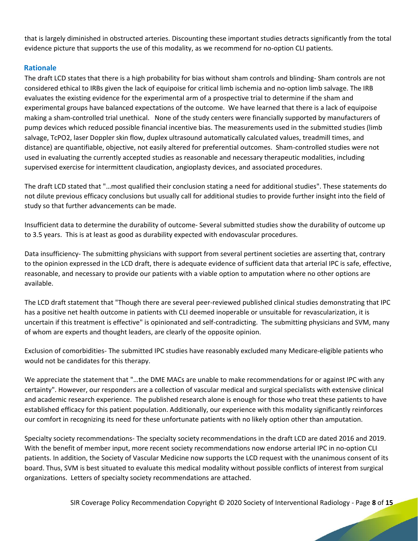that is largely diminished in obstructed arteries. Discounting these important studies detracts significantly from the total evidence picture that supports the use of this modality, as we recommend for no-option CLI patients.

#### **Rationale**

The draft LCD states that there is a high probability for bias without sham controls and blinding- Sham controls are not considered ethical to IRBs given the lack of equipoise for critical limb ischemia and no-option limb salvage. The IRB evaluates the existing evidence for the experimental arm of a prospective trial to determine if the sham and experimental groups have balanced expectations of the outcome. We have learned that there is a lack of equipoise making a sham-controlled trial unethical. None of the study centers were financially supported by manufacturers of pump devices which reduced possible financial incentive bias. The measurements used in the submitted studies (limb salvage, TcPO2, laser Doppler skin flow, duplex ultrasound automatically calculated values, treadmill times, and distance) are quantifiable, objective, not easily altered for preferential outcomes. Sham-controlled studies were not used in evaluating the currently accepted studies as reasonable and necessary therapeutic modalities, including supervised exercise for intermittent claudication, angioplasty devices, and associated procedures.

The draft LCD stated that "…most qualified their conclusion stating a need for additional studies". These statements do not dilute previous efficacy conclusions but usually call for additional studies to provide further insight into the field of study so that further advancements can be made.

Insufficient data to determine the durability of outcome- Several submitted studies show the durability of outcome up to 3.5 years. This is at least as good as durability expected with endovascular procedures.

Data insufficiency- The submitting physicians with support from several pertinent societies are asserting that, contrary to the opinion expressed in the LCD draft, there is adequate evidence of sufficient data that arterial IPC is safe, effective, reasonable, and necessary to provide our patients with a viable option to amputation where no other options are available.

The LCD draft statement that "Though there are several peer-reviewed published clinical studies demonstrating that IPC has a positive net health outcome in patients with CLI deemed inoperable or unsuitable for revascularization, it is uncertain if this treatment is effective" is opinionated and self-contradicting. The submitting physicians and SVM, many of whom are experts and thought leaders, are clearly of the opposite opinion.

Exclusion of comorbidities- The submitted IPC studies have reasonably excluded many Medicare-eligible patients who would not be candidates for this therapy.

We appreciate the statement that "…the DME MACs are unable to make recommendations for or against IPC with any certainty". However, our responders are a collection of vascular medical and surgical specialists with extensive clinical and academic research experience. The published research alone is enough for those who treat these patients to have established efficacy for this patient population. Additionally, our experience with this modality significantly reinforces our comfort in recognizing its need for these unfortunate patients with no likely option other than amputation.

Specialty society recommendations- The specialty society recommendations in the draft LCD are dated 2016 and 2019. With the benefit of member input, more recent society recommendations now endorse arterial IPC in no-option CLI patients. In addition, the Society of Vascular Medicine now supports the LCD request with the unanimous consent of its board. Thus, SVM is best situated to evaluate this medical modality without possible conflicts of interest from surgical organizations. Letters of specialty society recommendations are attached.

SIR Coverage Policy Recommendation Copyright © 2020 Society of Interventional Radiology - Page **8** of **15**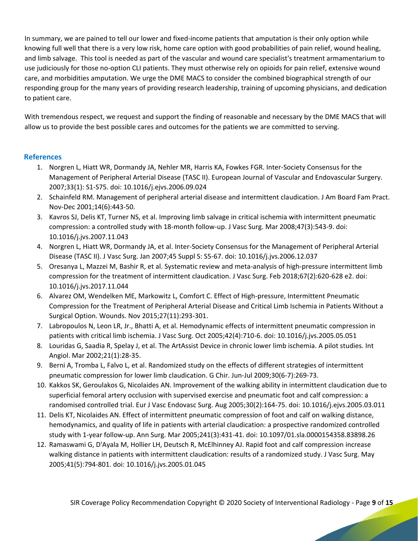In summary, we are pained to tell our lower and fixed-income patients that amputation is their only option while knowing full well that there is a very low risk, home care option with good probabilities of pain relief, wound healing, and limb salvage. This tool is needed as part of the vascular and wound care specialist's treatment armamentarium to use judiciously for those no-option CLI patients. They must otherwise rely on opioids for pain relief, extensive wound care, and morbidities amputation. We urge the DME MACS to consider the combined biographical strength of our responding group for the many years of providing research leadership, training of upcoming physicians, and dedication to patient care.

With tremendous respect, we request and support the finding of reasonable and necessary by the DME MACS that will allow us to provide the best possible cares and outcomes for the patients we are committed to serving.

#### **References**

- 1. Norgren L, Hiatt WR, Dormandy JA, Nehler MR, Harris KA, Fowkes FGR. Inter-Society Consensus for the Management of Peripheral Arterial Disease (TASC II). European Journal of Vascular and Endovascular Surgery. 2007;33(1): S1-S75. doi: 10.1016/j.ejvs.2006.09.024
- 2. Schainfeld RM. Management of peripheral arterial disease and intermittent claudication. J Am Board Fam Pract. Nov-Dec 2001;14(6):443-50.
- 3. Kavros SJ, Delis KT, Turner NS, et al. Improving limb salvage in critical ischemia with intermittent pneumatic compression: a controlled study with 18-month follow-up. J Vasc Surg. Mar 2008;47(3):543-9. doi: 10.1016/j.jvs.2007.11.043
- 4. Norgren L, Hiatt WR, Dormandy JA, et al. Inter-Society Consensus for the Management of Peripheral Arterial Disease (TASC II). J Vasc Surg. Jan 2007;45 Suppl S: S5-67. doi: 10.1016/j.jvs.2006.12.037
- 5. Oresanya L, Mazzei M, Bashir R, et al. Systematic review and meta-analysis of high-pressure intermittent limb compression for the treatment of intermittent claudication. J Vasc Surg. Feb 2018;67(2):620-628 e2. doi: 10.1016/j.jvs.2017.11.044
- 6. Alvarez OM, Wendelken ME, Markowitz L, Comfort C. Effect of High-pressure, Intermittent Pneumatic Compression for the Treatment of Peripheral Arterial Disease and Critical Limb Ischemia in Patients Without a Surgical Option. Wounds. Nov 2015;27(11):293-301.
- 7. Labropoulos N, Leon LR, Jr., Bhatti A, et al. Hemodynamic effects of intermittent pneumatic compression in patients with critical limb ischemia. J Vasc Surg. Oct 2005;42(4):710-6. doi: 10.1016/j.jvs.2005.05.051
- 8. Louridas G, Saadia R, Spelay J, et al. The ArtAssist Device in chronic lower limb ischemia. A pilot studies. Int Angiol. Mar 2002;21(1):28-35.
- 9. Berni A, Tromba L, Falvo L, et al. Randomized study on the effects of different strategies of intermittent pneumatic compression for lower limb claudication. G Chir. Jun-Jul 2009;30(6-7):269-73.
- 10. Kakkos SK, Geroulakos G, Nicolaides AN. Improvement of the walking ability in intermittent claudication due to superficial femoral artery occlusion with supervised exercise and pneumatic foot and calf compression: a randomised controlled trial. Eur J Vasc Endovasc Surg. Aug 2005;30(2):164-75. doi: 10.1016/j.ejvs.2005.03.011
- 11. Delis KT, Nicolaides AN. Effect of intermittent pneumatic compression of foot and calf on walking distance, hemodynamics, and quality of life in patients with arterial claudication: a prospective randomized controlled study with 1-year follow-up. Ann Surg. Mar 2005;241(3):431-41. doi: 10.1097/01.sla.0000154358.83898.26
- 12. Ramaswami G, D'Ayala M, Hollier LH, Deutsch R, McElhinney AJ. Rapid foot and calf compression increase walking distance in patients with intermittent claudication: results of a randomized study. J Vasc Surg. May 2005;41(5):794-801. doi: 10.1016/j.jvs.2005.01.045

SIR Coverage Policy Recommendation Copyright © 2020 Society of Interventional Radiology - Page **9** of **15**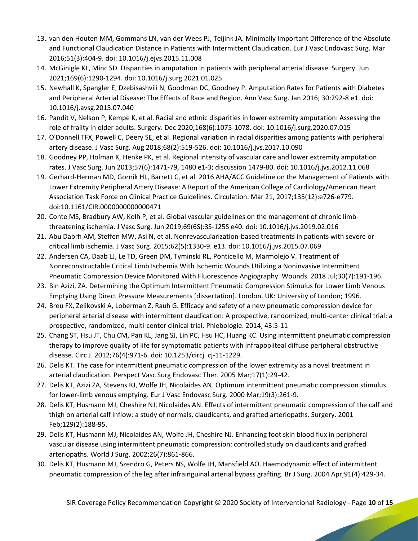- 13. van den Houten MM, Gommans LN, van der Wees PJ, Teijink JA. Minimally Important Difference of the Absolute and Functional Claudication Distance in Patients with Intermittent Claudication. Eur J Vasc Endovasc Surg. Mar 2016;51(3):404-9. doi: 10.1016/j.ejvs.2015.11.008
- 14. McGinigle KL, Minc SD. Disparities in amputation in patients with peripheral arterial disease. Surgery. Jun 2021;169(6):1290-1294. doi: 10.1016/j.surg.2021.01.025
- 15. Newhall K, Spangler E, Dzebisashvili N, Goodman DC, Goodney P. Amputation Rates for Patients with Diabetes and Peripheral Arterial Disease: The Effects of Race and Region. Ann Vasc Surg. Jan 2016; 30:292-8 e1. doi: 10.1016/j.avsg.2015.07.040
- 16. Pandit V, Nelson P, Kempe K, et al. Racial and ethnic disparities in lower extremity amputation: Assessing the role of frailty in older adults. Surgery. Dec 2020;168(6):1075-1078. doi: 10.1016/j.surg.2020.07.015
- 17. O'Donnell TFX, Powell C, Deery SE, et al. Regional variation in racial disparities among patients with peripheral artery disease. J Vasc Surg. Aug 2018;68(2):519-526. doi: 10.1016/j.jvs.2017.10.090
- 18. Goodney PP, Holman K, Henke PK, et al. Regional intensity of vascular care and lower extremity amputation rates. J Vasc Surg. Jun 2013;57(6):1471-79, 1480 e1-3; discussion 1479-80. doi: 10.1016/j.jvs.2012.11.068
- 19. Gerhard-Herman MD, Gornik HL, Barrett C, et al. 2016 AHA/ACC Guideline on the Management of Patients with Lower Extremity Peripheral Artery Disease: A Report of the American College of Cardiology/American Heart Association Task Force on Clinical Practice Guidelines. Circulation. Mar 21, 2017;135(12):e726-e779. doi:10.1161/CIR.0000000000000471
- 20. Conte MS, Bradbury AW, Kolh P, et al. Global vascular guidelines on the management of chronic limbthreatening ischemia. J Vasc Surg. Jun 2019;69(6S):3S-125S e40. doi: 10.1016/j.jvs.2019.02.016
- 21. Abu Dabrh AM, Steffen MW, Asi N, et al. Nonrevascularization-based treatments in patients with severe or critical limb ischemia. J Vasc Surg. 2015;62(5):1330-9. e13. doi: 10.1016/j.jvs.2015.07.069
- 22. Andersen CA, Daab LJ, Le TD, Green DM, Tyminski RL, Ponticello M, Marmolejo V. Treatment of Nonreconstructable Critical Limb Ischemia With Ischemic Wounds Utilizing a Noninvasive Intermittent Pneumatic Compression Device Monitored With Fluorescence Angiography. Wounds. 2018 Jul;30(7):191-196.
- 23. Bin Azizi, ZA. Determining the Optimum Intermittent Pneumatic Compression Stimulus for Lower Limb Venous Emptying Using Direct Pressure Measurements [dissertation]. London, UK: University of London; 1996.
- 24. Breu FX, Zelikovski A, Loberman Z, Rauh G. Efficacy and safety of a new pneumatic compression device for peripheral arterial disease with intermittent claudication: A prospective, randomized, multi-center clinical trial: a prospective, randomized, multi-center clinical trial. Phlebologie. 2014; 43:5-11
- 25. Chang ST, Hsu JT, Chu CM, Pan KL, Jang SJ, Lin PC, Hsu HC, Huang KC. Using intermittent pneumatic compression therapy to improve quality of life for symptomatic patients with infrapopliteal diffuse peripheral obstructive disease. Circ J. 2012;76(4):971-6. doi: 10.1253/circj. cj-11-1229.
- 26. Delis KT. The case for intermittent pneumatic compression of the lower extremity as a novel treatment in arterial claudication. Perspect Vasc Surg Endovasc Ther. 2005 Mar;17(1):29-42.
- 27. Delis KT, Azizi ZA, Stevens RJ, Wolfe JH, Nicolaides AN. Optimum intermittent pneumatic compression stimulus for lower-limb venous emptying. Eur J Vasc Endovasc Surg. 2000 Mar;19(3):261-9.
- 28. Delis KT, Husmann MJ, Cheshire NJ, Nicolaides AN. Effects of intermittent pneumatic compression of the calf and thigh on arterial calf inflow: a study of normals, claudicants, and grafted arteriopaths. Surgery. 2001 Feb;129(2):188-95.
- 29. Delis KT, Husmann MJ, Nicolaides AN, Wolfe JH, Cheshire NJ. Enhancing foot skin blood flux in peripheral vascular disease using intermittent pneumatic compression: controlled study on claudicants and grafted arteriopaths. World J Surg. 2002;26(7):861-866.
- 30. Delis KT, Husmann MJ, Szendro G, Peters NS, Wolfe JH, Mansfield AO. Haemodynamic effect of intermittent pneumatic compression of the leg after infrainguinal arterial bypass grafting. Br J Surg. 2004 Apr;91(4):429-34.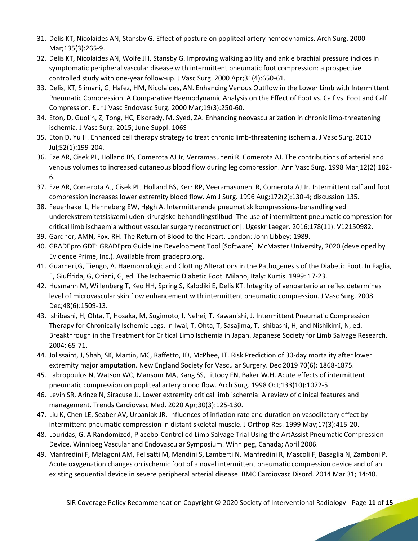- 31. Delis KT, Nicolaides AN, Stansby G. Effect of posture on popliteal artery hemodynamics. Arch Surg. 2000 Mar;135(3):265-9.
- 32. Delis KT, Nicolaides AN, Wolfe JH, Stansby G. Improving walking ability and ankle brachial pressure indices in symptomatic peripheral vascular disease with intermittent pneumatic foot compression: a prospective controlled study with one-year follow-up. J Vasc Surg. 2000 Apr;31(4):650-61.
- 33. Delis, KT, Slimani, G, Hafez, HM, Nicolaides, AN. Enhancing Venous Outflow in the Lower Limb with Intermittent Pneumatic Compression. A Comparative Haemodynamic Analysis on the Effect of Foot vs. Calf vs. Foot and Calf Compression. Eur J Vasc Endovasc Surg. 2000 Mar;19(3):250-60.
- 34. Eton, D, Guolin, Z, Tong, HC, Elsorady, M, Syed, ZA. Enhancing neovascularization in chronic limb-threatening ischemia. J Vasc Surg. 2015; June Suppl: 106S
- 35. Eton D, Yu H. Enhanced cell therapy strategy to treat chronic limb-threatening ischemia. J Vasc Surg. 2010 Jul;52(1):199-204.
- 36. Eze AR, Cisek PL, Holland BS, Comerota AJ Jr, Verramasuneni R, Comerota AJ. The contributions of arterial and venous volumes to increased cutaneous blood flow during leg compression. Ann Vasc Surg. 1998 Mar;12(2):182- 6.
- 37. Eze AR, Comerota AJ, Cisek PL, Holland BS, Kerr RP, Veeramasuneni R, Comerota AJ Jr. Intermittent calf and foot compression increases lower extremity blood flow. Am J Surg. 1996 Aug;172(2):130-4; discussion 135.
- 38. Feuerhake IL, Henneberg EW, Høgh A. Intermitterende pneumatisk kompressions-behandling ved underekstremitetsiskæmi uden kirurgiske behandlingstilbud [The use of intermittent pneumatic compression for critical limb ischaemia without vascular surgery reconstruction]. Ugeskr Laeger. 2016;178(11): V12150982.
- 39. Gardner, AMN, Fox, RH. The Return of Blood to the Heart. London: John Libbey; 1989.
- 40. GRADEpro GDT: GRADEpro Guideline Development Tool [Software]. McMaster University, 2020 (developed by Evidence Prime, Inc.). Available from gradepro.org.
- 41. Guarneri,G, Tiengo, A. Haemorrologic and Clotting Alterations in the Pathogenesis of the Diabetic Foot. In Faglia, E, Giuffrida, G, Oriani, G, ed. The Ischaemic Diabetic Foot. Milano, Italy: Kurtis. 1999: 17-23.
- 42. Husmann M, Willenberg T, Keo HH, Spring S, Kalodiki E, Delis KT. Integrity of venoarteriolar reflex determines level of microvascular skin flow enhancement with intermittent pneumatic compression. J Vasc Surg. 2008 Dec;48(6):1509-13.
- 43. Ishibashi, H, Ohta, T, Hosaka, M, Sugimoto, I, Nehei, T, Kawanishi, J. Intermittent Pneumatic Compression Therapy for Chronically Ischemic Legs. In Iwai, T, Ohta, T, Sasajima, T, Ishibashi, H, and Nishikimi, N, ed. Breakthrough in the Treatment for Critical Limb Ischemia in Japan. Japanese Society for Limb Salvage Research. 2004: 65-71.
- 44. Jolissaint, J, Shah, SK, Martin, MC, Raffetto, JD, McPhee, JT. Risk Prediction of 30-day mortality after lower extremity major amputation. New England Society for Vascular Surgery. Dec 2019 70(6): 1868-1875.
- 45. Labropoulos N, Watson WC, Mansour MA, Kang SS, Littooy FN, Baker W.H. Acute effects of intermittent pneumatic compression on popliteal artery blood flow. Arch Surg. 1998 Oct;133(10):1072-5.
- 46. Levin SR, Arinze N, Siracuse JJ. Lower extremity critical limb ischemia: A review of clinical features and management. Trends Cardiovasc Med. 2020 Apr;30(3):125-130.
- 47. Liu K, Chen LE, Seaber AV, Urbaniak JR. Influences of inflation rate and duration on vasodilatory effect by intermittent pneumatic compression in distant skeletal muscle. J Orthop Res. 1999 May;17(3):415-20.
- 48. Louridas, G. A Randomized, Placebo-Controlled Limb Salvage Trial Using the ArtAssist Pneumatic Compression Device. Winnipeg Vascular and Endovascular Symposium. Winnipeg, Canada; April 2006.
- 49. Manfredini F, Malagoni AM, Felisatti M, Mandini S, Lamberti N, Manfredini R, Mascoli F, Basaglia N, Zamboni P. Acute oxygenation changes on ischemic foot of a novel intermittent pneumatic compression device and of an existing sequential device in severe peripheral arterial disease. BMC Cardiovasc Disord. 2014 Mar 31; 14:40.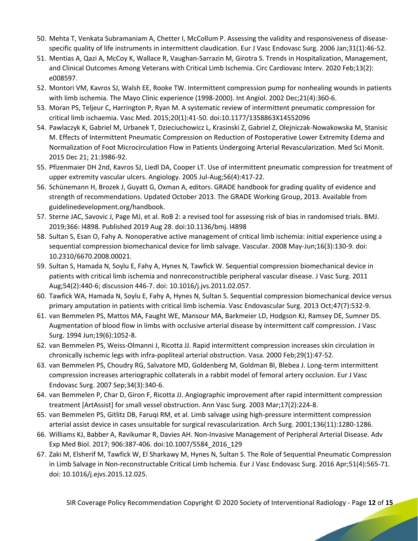- 50. Mehta T, Venkata Subramaniam A, Chetter I, McCollum P. Assessing the validity and responsiveness of diseasespecific quality of life instruments in intermittent claudication. Eur J Vasc Endovasc Surg. 2006 Jan;31(1):46-52.
- 51. Mentias A, Qazi A, McCoy K, Wallace R, Vaughan-Sarrazin M, Girotra S. Trends in Hospitalization, Management, and Clinical Outcomes Among Veterans with Critical Limb Ischemia. Circ Cardiovasc Interv. 2020 Feb;13(2): e008597.
- 52. Montori VM, Kavros SJ, Walsh EE, Rooke TW. Intermittent compression pump for nonhealing wounds in patients with limb ischemia. The Mayo Clinic experience (1998-2000). Int Angiol. 2002 Dec;21(4):360-6.
- 53. Moran PS, Teljeur C, Harrington P, Ryan M. A systematic review of intermittent pneumatic compression for critical limb ischaemia. Vasc Med. 2015;20(1):41-50. doi:10.1177/1358863X14552096
- 54. Pawlaczyk K, Gabriel M, Urbanek T, Dzieciuchowicz L, Krasinski Z, Gabriel Z, Olejniczak-Nowakowska M, Stanisic M. Effects of Intermittent Pneumatic Compression on Reduction of Postoperative Lower Extremity Edema and Normalization of Foot Microcirculation Flow in Patients Undergoing Arterial Revascularization. Med Sci Monit. 2015 Dec 21; 21:3986-92.
- 55. Pfizenmaier DH 2nd, Kavros SJ, Liedl DA, Cooper LT. Use of intermittent pneumatic compression for treatment of upper extremity vascular ulcers. Angiology. 2005 Jul-Aug;56(4):417-22.
- 56. Schünemann H, Brozek J, Guyatt G, Oxman A, editors. GRADE handbook for grading quality of evidence and strength of recommendations. Updated October 2013. The GRADE Working Group, 2013. Available from guidelinedevelopment.org/handbook.
- 57. Sterne JAC, Savovic J, Page MJ, et al. RoB 2: a revised tool for assessing risk of bias in randomised trials. BMJ. 2019;366: l4898. Published 2019 Aug 28. doi:10.1136/bmj. l4898
- 58. Sultan S, Esan O, Fahy A. Nonoperative active management of critical limb ischemia: initial experience using a sequential compression biomechanical device for limb salvage. Vascular. 2008 May-Jun;16(3):130-9. doi: 10.2310/6670.2008.00021.
- 59. Sultan S, Hamada N, Soylu E, Fahy A, Hynes N, Tawfick W. Sequential compression biomechanical device in patients with critical limb ischemia and nonreconstructible peripheral vascular disease. J Vasc Surg. 2011 Aug;54(2):440-6; discussion 446-7. doi: 10.1016/j.jvs.2011.02.057.
- 60. Tawfick WA, Hamada N, Soylu E, Fahy A, Hynes N, Sultan S. Sequential compression biomechanical device versus primary amputation in patients with critical limb ischemia. Vasc Endovascular Surg. 2013 Oct;47(7):532-9.
- 61. van Bemmelen PS, Mattos MA, Faught WE, Mansour MA, Barkmeier LD, Hodgson KJ, Ramsey DE, Sumner DS. Augmentation of blood flow in limbs with occlusive arterial disease by intermittent calf compression. J Vasc Surg. 1994 Jun;19(6):1052-8.
- 62. van Bemmelen PS, Weiss-Olmanni J, Ricotta JJ. Rapid intermittent compression increases skin circulation in chronically ischemic legs with infra-popliteal arterial obstruction. Vasa. 2000 Feb;29(1):47-52.
- 63. van Bemmelen PS, Choudry RG, Salvatore MD, Goldenberg M, Goldman BI, Blebea J. Long-term intermittent compression increases arteriographic collaterals in a rabbit model of femoral artery occlusion. Eur J Vasc Endovasc Surg. 2007 Sep;34(3):340-6.
- 64. van Bemmelen P, Char D, Giron F, Ricotta JJ. Angiographic improvement after rapid intermittent compression treatment [ArtAssist] for small vessel obstruction. Ann Vasc Surg. 2003 Mar;17(2):224-8.
- 65. van Bemmelen PS, Gitlitz DB, Faruqi RM, et al. Limb salvage using high-pressure intermittent compression arterial assist device in cases unsuitable for surgical revascularization. Arch Surg. 2001;136(11):1280-1286.
- 66. Williams KJ, Babber A, Ravikumar R, Davies AH. Non-Invasive Management of Peripheral Arterial Disease. Adv Exp Med Biol. 2017; 906:387-406. doi:10.1007/5584\_2016\_129
- 67. Zaki M, Elsherif M, Tawfick W, El Sharkawy M, Hynes N, Sultan S. The Role of Sequential Pneumatic Compression in Limb Salvage in Non-reconstructable Critical Limb Ischemia. Eur J Vasc Endovasc Surg. 2016 Apr;51(4):565-71. doi: 10.1016/j.ejvs.2015.12.025.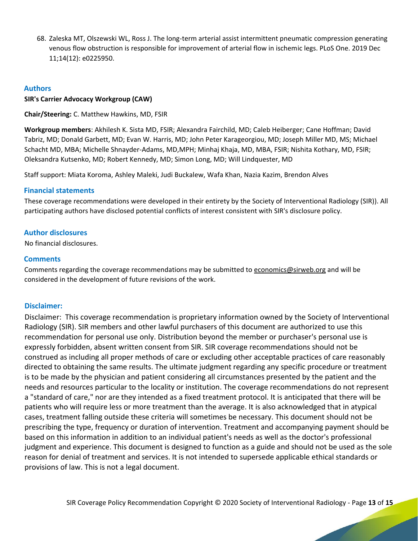68. Zaleska MT, Olszewski WL, Ross J. The long-term arterial assist intermittent pneumatic compression generating venous flow obstruction is responsible for improvement of arterial flow in ischemic legs. PLoS One. 2019 Dec 11;14(12): e0225950.

#### **Authors**

#### **SIR's Carrier Advocacy Workgroup (CAW)**

**Chair/Steering:** C. Matthew Hawkins, MD, FSIR

**Workgroup members**: Akhilesh K. Sista MD, FSIR; Alexandra Fairchild, MD; Caleb Heiberger; Cane Hoffman; David Tabriz, MD; Donald Garbett, MD; Evan W. Harris, MD; John Peter Karageorgiou, MD; Joseph Miller MD, MS; Michael Schacht MD, MBA; Michelle Shnayder-Adams, MD,MPH; Minhaj Khaja, MD, MBA, FSIR; Nishita Kothary, MD, FSIR; Oleksandra Kutsenko, MD; Robert Kennedy, MD; Simon Long, MD; Will Lindquester, MD

Staff support: Miata Koroma, Ashley Maleki, Judi Buckalew, Wafa Khan, Nazia Kazim, Brendon Alves

#### **Financial statements**

These coverage recommendations were developed in their entirety by the Society of Interventional Radiology (SIR)). All participating authors have disclosed potential conflicts of interest consistent with SIR's disclosure policy.

#### **Author disclosures**

No financial disclosures.

#### **Comments**

Comments regarding the coverage recommendations may be submitted to [economics@sirweb.org](mailto:economics@sirweb.org) and will be considered in the development of future revisions of the work.

#### **Disclaimer:**

Disclaimer: This coverage recommendation is proprietary information owned by the Society of Interventional Radiology (SIR). SIR members and other lawful purchasers of this document are authorized to use this recommendation for personal use only. Distribution beyond the member or purchaser's personal use is expressly forbidden, absent written consent from SIR. SIR coverage recommendations should not be construed as including all proper methods of care or excluding other acceptable practices of care reasonably directed to obtaining the same results. The ultimate judgment regarding any specific procedure or treatment is to be made by the physician and patient considering all circumstances presented by the patient and the needs and resources particular to the locality or institution. The coverage recommendations do not represent a "standard of care," nor are they intended as a fixed treatment protocol. It is anticipated that there will be patients who will require less or more treatment than the average. It is also acknowledged that in atypical cases, treatment falling outside these criteria will sometimes be necessary. This document should not be prescribing the type, frequency or duration of intervention. Treatment and accompanying payment should be based on this information in addition to an individual patient's needs as well as the doctor's professional judgment and experience. This document is designed to function as a guide and should not be used as the sole reason for denial of treatment and services. It is not intended to supersede applicable ethical standards or provisions of law. This is not a legal document.

SIR Coverage Policy Recommendation Copyright © 2020 Society of Interventional Radiology - Page **13** of **15**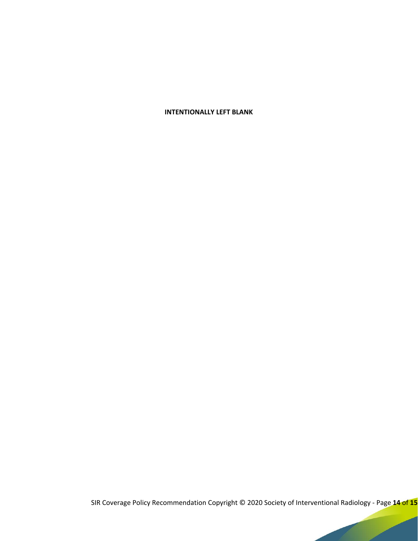#### **INTENTIONALLY LEFT BLANK**

SIR Coverage Policy Recommendation Copyright © 2020 Society of Interventional Radiology - Page **14** of **15**